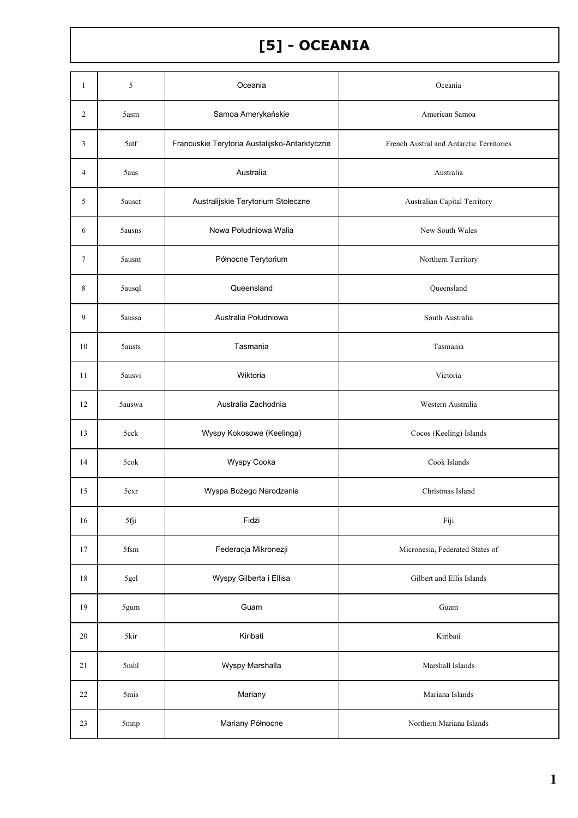## [5] - OCEANIA

| $\mathbf{1}$   | 5                | Oceania                                       | Oceania                                  |
|----------------|------------------|-----------------------------------------------|------------------------------------------|
| 2              | 5asm             | Samoa Amerykańskie                            | American Samoa                           |
| 3              | 5atf             | Francuskie Terytoria Austalijsko-Antarktyczne | French Austral and Antarctic Territories |
| $\overline{4}$ | 5aus             | Australia                                     | Australia                                |
| 5              | 5ausct           | Australijskie Terytorium Stołeczne            | Australian Capital Territory             |
| 6              | 5ausns           | Nowa Południowa Walia                         | New South Wales                          |
| 7              | 5ausnt           | Północne Terytorium                           | Northern Territory                       |
| 8              | 5ausql           | Queensland                                    | Queensland                               |
| 9              | 5aussa           | Australia Południowa                          | South Australia                          |
| 10             | 5austs           | Tasmania                                      | Tasmania                                 |
| 11             | 5ausvi           | Wiktoria                                      | Victoria                                 |
| 12             | 5auswa           | Australia Zachodnia                           | Western Australia                        |
| 13             | 5cck             | Wyspy Kokosowe (Keelinga)                     | Cocos (Keeling) Islands                  |
| 14             | 5cok             | Wyspy Cooka                                   | Cook Islands                             |
| 15             | 5 <sub>cxr</sub> | Wyspa Bożego Narodzenia                       | Christmas Island                         |
| 16             | 5fji             | Fidżi                                         | Fiji                                     |
| 17             | 5fsm             | Federacja Mikronezji                          | Micronesia, Federated States of          |
| $18\,$         | 5gel             | Wyspy Gilberta i Ellisa                       | Gilbert and Ellis Islands                |
| 19             | 5gum             | Guam                                          | Guam                                     |
| 20             | 5kir             | Kiribati                                      | Kiribati                                 |
| 21             | 5mhl             | Wyspy Marshalla                               | Marshall Islands                         |
| $22\,$         | 5 <sub>mis</sub> | Mariany                                       | Mariana Islands                          |
| 23             | 5mnp             | Mariany Północne                              | Northern Mariana Islands                 |